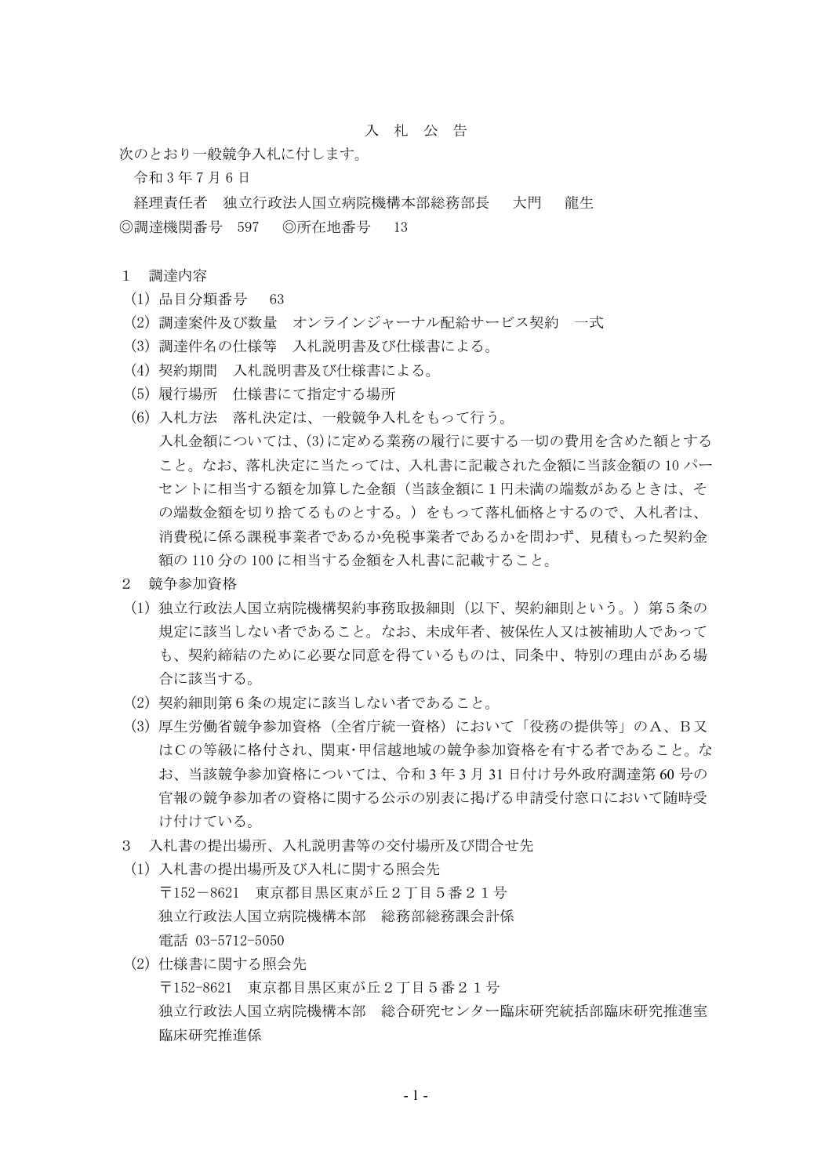## 入 札 公 告

次のとおり一般競争入札に付します。

令和 3 年 7 月 6 日

経理責任者 独立行政法人国立病院機構本部総務部長 大門 龍生 ◎調達機関番号 597 ◎所在地番号 13

## 1 調達内容

- (1) 品目分類番号 63
- (2) 調達案件及び数量 オンラインジャーナル配給サービス契約 一式
- (3) 調達件名の仕様等 入札説明書及び仕様書による。
- (4) 契約期間 入札説明書及び仕様書による。
- (5) 履行場所 仕様書にて指定する場所
- (6) 入札方法 落札決定は、一般競争入札をもって行う。 入札金額については、(3)に定める業務の履行に要する一切の費用を含めた額とする こと。なお、落札決定に当たっては、入札書に記載された金額に当該金額の 10 パー セントに相当する額を加算した金額(当該金額に1円未満の端数があるときは、そ の端数金額を切り捨てるものとする。)をもって落札価格とするので、入札者は、 消費税に係る課税事業者であるか免税事業者であるかを問わず、見積もった契約金 額の 110 分の 100 に相当する金額を入札書に記載すること。
- 2 競争参加資格
- (1) 独立行政法人国立病院機構契約事務取扱細則(以下、契約細則という。)第5条の 規定に該当しない者であること。なお、未成年者、被保佐人又は被補助人であって も、契約締結のために必要な同意を得ているものは、同条中、特別の理由がある場 合に該当する。
- (2) 契約細則第6条の規定に該当しない者であること。
- (3) 厚生労働省競争参加資格(全省庁統一資格)において「役務の提供等」のA、B又 はCの等級に格付され、関東・甲信越地域の競争参加資格を有する者であること。な お、当該競争参加資格については、令和 3 年 3 月 31 日付け号外政府調達第 60 号の 官報の競争参加者の資格に関する公示の別表に掲げる申請受付窓口において随時受 け付けている。
- 3 入札書の提出場所、入札説明書等の交付場所及び問合せ先
	- (1) 入札書の提出場所及び入札に関する照会先 〒152-8621 東京都目黒区東が丘2丁目5番21号 独立行政法人国立病院機構本部 総務部総務課会計係 電話 03-5712-5050
	- (2) 仕様書に関する照会先 〒152-8621 東京都目黒区東が丘2丁目5番21号 独立行政法人国立病院機構本部 総合研究センター臨床研究統括部臨床研究推進室 臨床研究推進係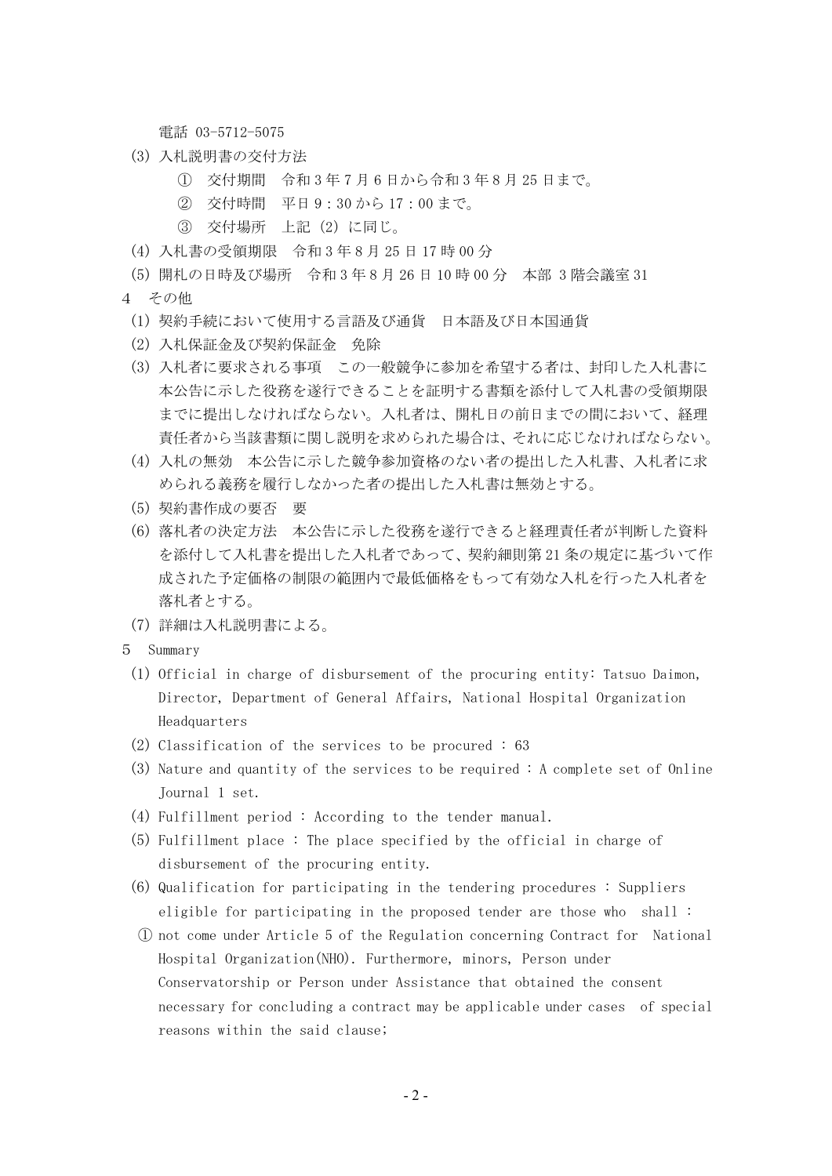電話 03-5712-5075

- (3) 入札説明書の交付方法
	- ① 交付期間 令和 3 年 7 月 6 日から令和 3 年 8 月 25 日まで。
	- ② 交付時間 平日 9:30 から 17:00 まで。
	- ③ 交付場所 上記(2)に同じ。
- (4) 入札書の受領期限 令和 3 年 8 月 25 日 17 時 00 分
- (5) 開札の日時及び場所 令和 3 年 8 月 26 日 10 時 00 分 本部 3 階会議室 31
- 4 その他
	- (1) 契約手続において使用する言語及び通貨 日本語及び日本国通貨
	- (2) 入札保証金及び契約保証金 免除
	- (3) 入札者に要求される事項 この一般競争に参加を希望する者は、封印した入札書に 本公告に示した役務を遂行できることを証明する書類を添付して入札書の受領期限 までに提出しなければならない。入札者は、開札日の前日までの間において、経理 責任者から当該書類に関し説明を求められた場合は、それに応じなければならない。
	- (4) 入札の無効 本公告に示した競争参加資格のない者の提出した入札書、入札者に求 められる義務を履行しなかった者の提出した入札書は無効とする。
	- (5) 契約書作成の要否 要
	- (6) 落札者の決定方法 本公告に示した役務を遂行できると経理責任者が判断した資料 を添付して入札書を提出した入札者であって、契約細則第 21 条の規定に基づいて作 成された予定価格の制限の範囲内で最低価格をもって有効な入札を行った入札者を 落札者とする。
	- (7) 詳細は入札説明書による。
- 5 Summary
	- (1) Official in charge of disbursement of the procuring entity: Tatsuo Daimon, Director, Department of General Affairs, National Hospital Organization Headquarters
	- (2) Classification of the services to be procured : 63
	- (3) Nature and quantity of the services to be required : A complete set of Online Journal 1 set.
	- (4) Fulfillment period : According to the tender manual.
	- (5) Fulfillment place : The place specified by the official in charge of disbursement of the procuring entity.
	- (6) Qualification for participating in the tendering procedures : Suppliers eligible for participating in the proposed tender are those who shall :
	- ① not come under Article 5 of the Regulation concerning Contract for National Hospital Organization(NHO). Furthermore, minors, Person under Conservatorship or Person under Assistance that obtained the consent necessary for concluding a contract may be applicable under cases of special reasons within the said clause;